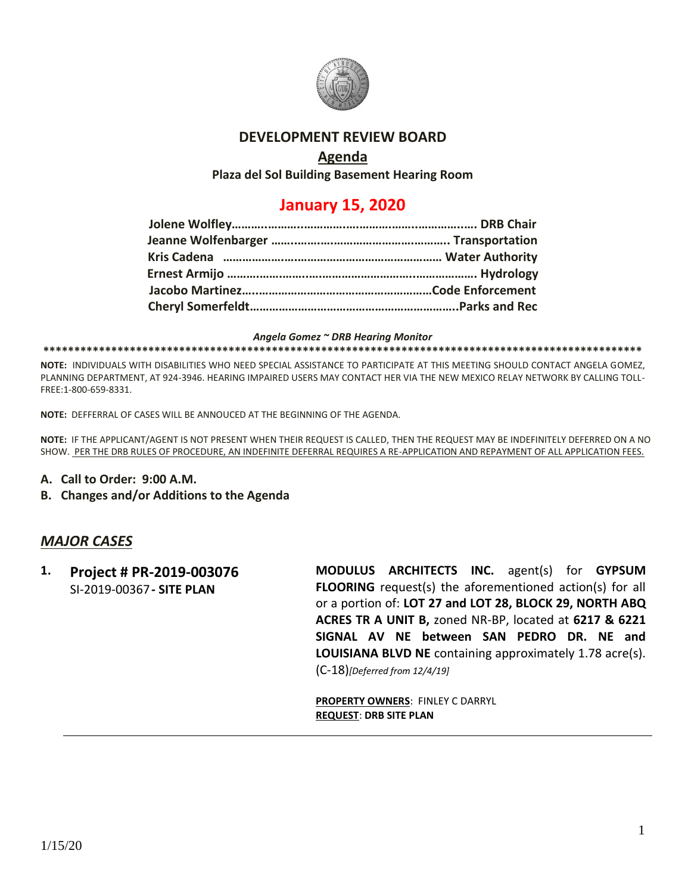

#### **DEVELOPMENT REVIEW BOARD**

### **Agenda**

**Plaza del Sol Building Basement Hearing Room**

# **January 15, 2020**

#### *Angela Gomez ~ DRB Hearing Monitor*

#### **\*\*\*\*\*\*\*\*\*\*\*\*\*\*\*\*\*\*\*\*\*\*\*\*\*\*\*\*\*\*\*\*\*\*\*\*\*\*\*\*\*\*\*\*\*\*\*\*\*\*\*\*\*\*\*\*\*\*\*\*\*\*\*\*\*\*\*\*\*\*\*\*\*\*\*\*\*\*\*\*\*\*\*\*\*\*\*\*\*\*\*\*\*\*\*\*\***

**NOTE:** INDIVIDUALS WITH DISABILITIES WHO NEED SPECIAL ASSISTANCE TO PARTICIPATE AT THIS MEETING SHOULD CONTACT ANGELA GOMEZ, PLANNING DEPARTMENT, AT 924-3946. HEARING IMPAIRED USERS MAY CONTACT HER VIA THE NEW MEXICO RELAY NETWORK BY CALLING TOLL-FREE:1-800-659-8331.

**NOTE:** DEFFERRAL OF CASES WILL BE ANNOUCED AT THE BEGINNING OF THE AGENDA.

**NOTE:** IF THE APPLICANT/AGENT IS NOT PRESENT WHEN THEIR REQUEST IS CALLED, THEN THE REQUEST MAY BE INDEFINITELY DEFERRED ON A NO SHOW. PER THE DRB RULES OF PROCEDURE, AN INDEFINITE DEFERRAL REQUIRES A RE-APPLICATION AND REPAYMENT OF ALL APPLICATION FEES.

- **A. Call to Order: 9:00 A.M.**
- **B. Changes and/or Additions to the Agenda**

# *MAJOR CASES*

**1. Project # PR-2019-003076** SI-2019-00367**- SITE PLAN**

**MODULUS ARCHITECTS INC.** agent(s) for **GYPSUM FLOORING** request(s) the aforementioned action(s) for all or a portion of: **LOT 27 and LOT 28, BLOCK 29, NORTH ABQ ACRES TR A UNIT B,** zoned NR-BP, located at **6217 & 6221 SIGNAL AV NE between SAN PEDRO DR. NE and LOUISIANA BLVD NE** containing approximately 1.78 acre(s). (C-18)*[Deferred from 12/4/19]*

**PROPERTY OWNERS**: FINLEY C DARRYL **REQUEST**: **DRB SITE PLAN**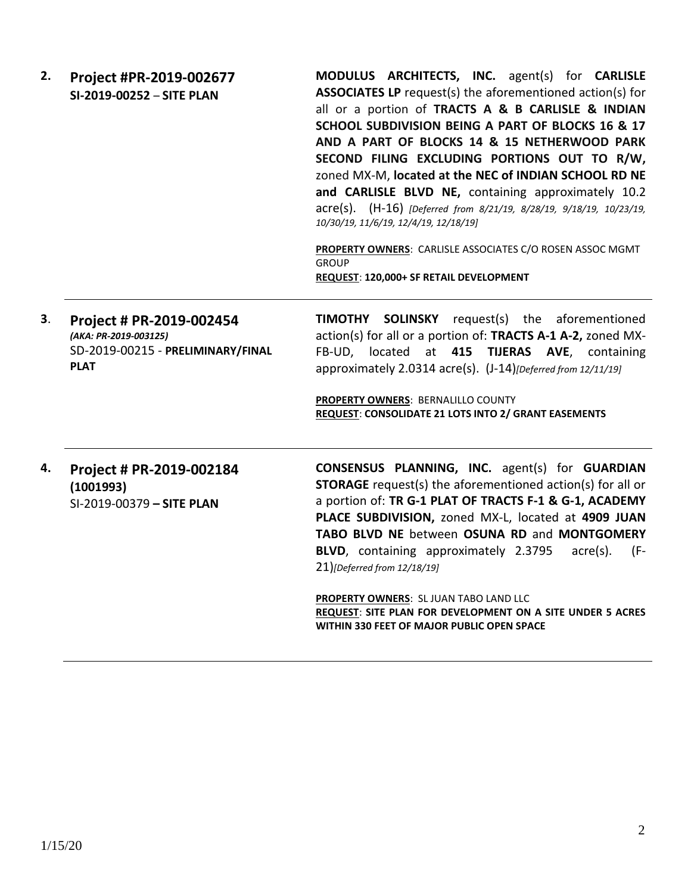| 2. | Project #PR-2019-002677<br>SI-2019-00252 - SITE PLAN                                                  | <b>MODULUS ARCHITECTS, INC.</b> agent(s) for <b>CARLISLE</b><br><b>ASSOCIATES LP</b> request(s) the aforementioned action(s) for<br>all or a portion of TRACTS A & B CARLISLE & INDIAN<br>SCHOOL SUBDIVISION BEING A PART OF BLOCKS 16 & 17<br>AND A PART OF BLOCKS 14 & 15 NETHERWOOD PARK<br>SECOND FILING EXCLUDING PORTIONS OUT TO R/W,<br>zoned MX-M, located at the NEC of INDIAN SCHOOL RD NE<br>and CARLISLE BLVD NE, containing approximately 10.2<br>acre(s). (H-16) [Deferred from 8/21/19, 8/28/19, 9/18/19, 10/23/19,<br>10/30/19, 11/6/19, 12/4/19, 12/18/19]<br>PROPERTY OWNERS: CARLISLE ASSOCIATES C/O ROSEN ASSOC MGMT<br><b>GROUP</b><br>REQUEST: 120,000+ SF RETAIL DEVELOPMENT |
|----|-------------------------------------------------------------------------------------------------------|-----------------------------------------------------------------------------------------------------------------------------------------------------------------------------------------------------------------------------------------------------------------------------------------------------------------------------------------------------------------------------------------------------------------------------------------------------------------------------------------------------------------------------------------------------------------------------------------------------------------------------------------------------------------------------------------------------|
| 3. | Project # PR-2019-002454<br>(AKA: PR-2019-003125)<br>SD-2019-00215 - PRELIMINARY/FINAL<br><b>PLAT</b> | <b>TIMOTHY SOLINSKY</b> request(s) the aforementioned<br>action(s) for all or a portion of: TRACTS A-1 A-2, zoned MX-<br>FB-UD, located at 415 TIJERAS AVE, containing<br>approximately 2.0314 acre(s). (J-14) [Deferred from 12/11/19]<br><b>PROPERTY OWNERS: BERNALILLO COUNTY</b><br><b>REQUEST: CONSOLIDATE 21 LOTS INTO 2/ GRANT EASEMENTS</b>                                                                                                                                                                                                                                                                                                                                                 |

## **4. Project # PR-2019-002184 (1001993)** SI-2019-00379 **– SITE PLAN**

**CONSENSUS PLANNING, INC.** agent(s) for **GUARDIAN STORAGE** request(s) the aforementioned action(s) for all or a portion of: **TR G-1 PLAT OF TRACTS F-1 & G-1, ACADEMY PLACE SUBDIVISION,** zoned MX-L, located at **4909 JUAN TABO BLVD NE** between **OSUNA RD** and **MONTGOMERY BLVD**, containing approximately 2.3795 acre(s). (F-21)*[Deferred from 12/18/19]*

**PROPERTY OWNERS**: SL JUAN TABO LAND LLC **REQUEST**: **SITE PLAN FOR DEVELOPMENT ON A SITE UNDER 5 ACRES WITHIN 330 FEET OF MAJOR PUBLIC OPEN SPACE**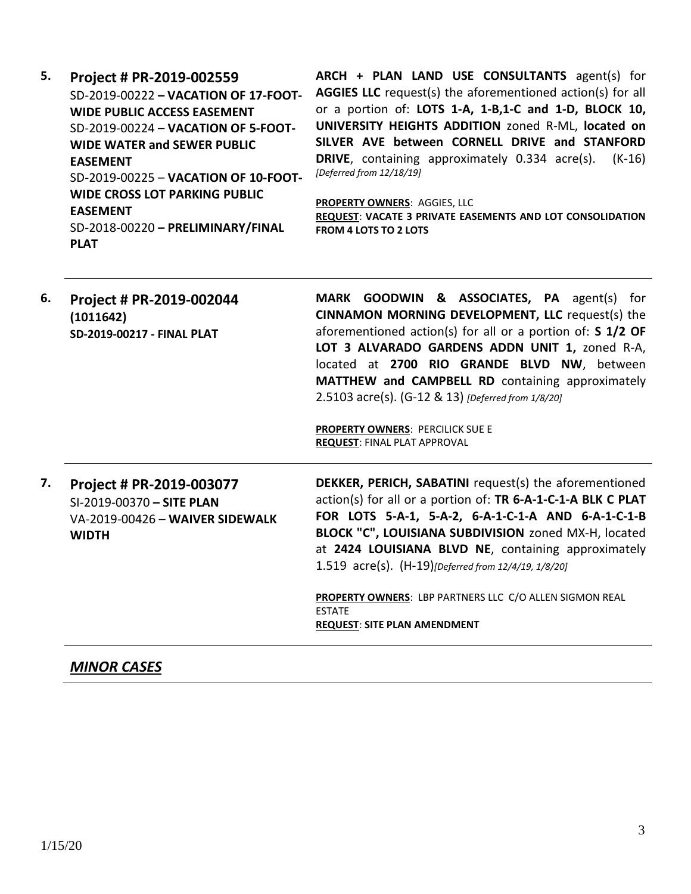**5. Project # PR-2019-002559** SD-2019-00222 **– VACATION OF 17-FOOT-WIDE PUBLIC ACCESS EASEMENT** SD-2019-00224 – **VACATION OF 5-FOOT-WIDE WATER and SEWER PUBLIC EASEMENT** SD-2019-00225 – **VACATION OF 10-FOOT-WIDE CROSS LOT PARKING PUBLIC EASEMENT** SD-2018-00220 **– PRELIMINARY/FINAL PLAT ARCH + PLAN LAND USE CONSULTANTS** agent(s) for **AGGIES LLC** request(s) the aforementioned action(s) for all or a portion of: **LOTS 1-A, 1-B,1-C and 1-D, BLOCK 10, UNIVERSITY HEIGHTS ADDITION** zoned R-ML, **located on SILVER AVE between CORNELL DRIVE and STANFORD DRIVE**, containing approximately 0.334 acre(s). (K-16) *[Deferred from 12/18/19]* **PROPERTY OWNERS**: AGGIES, LLC **REQUEST**: **VACATE 3 PRIVATE EASEMENTS AND LOT CONSOLIDATION FROM 4 LOTS TO 2 LOTS 6. Project # PR-2019-002044 (1011642) SD-2019-00217 - FINAL PLAT MARK GOODWIN & ASSOCIATES, PA** agent(s) for **CINNAMON MORNING DEVELOPMENT, LLC** request(s) the aforementioned action(s) for all or a portion of: **S 1/2 OF LOT 3 ALVARADO GARDENS ADDN UNIT 1,** zoned R-A, located at **2700 RIO GRANDE BLVD NW**, between **MATTHEW and CAMPBELL RD** containing approximately 2.5103 acre(s). (G-12 & 13) *[Deferred from 1/8/20]* **PROPERTY OWNERS**: PERCILICK SUE E **REQUEST**: FINAL PLAT APPROVAL **7. Project # PR-2019-003077** SI-2019-00370 **– SITE PLAN** VA-2019-00426 – **WAIVER SIDEWALK WIDTH DEKKER, PERICH, SABATINI** request(s) the aforementioned action(s) for all or a portion of: **TR 6-A-1-C-1-A BLK C PLAT FOR LOTS 5-A-1, 5-A-2, 6-A-1-C-1-A AND 6-A-1-C-1-B BLOCK "C", LOUISIANA SUBDIVISION** zoned MX-H, located at **2424 LOUISIANA BLVD NE**, containing approximately 1.519 acre(s). (H-19)*[Deferred from 12/4/19, 1/8/20]* **PROPERTY OWNERS**: LBP PARTNERS LLC C/O ALLEN SIGMON REAL ESTATE **REQUEST**: **SITE PLAN AMENDMENT**

#### *MINOR CASES*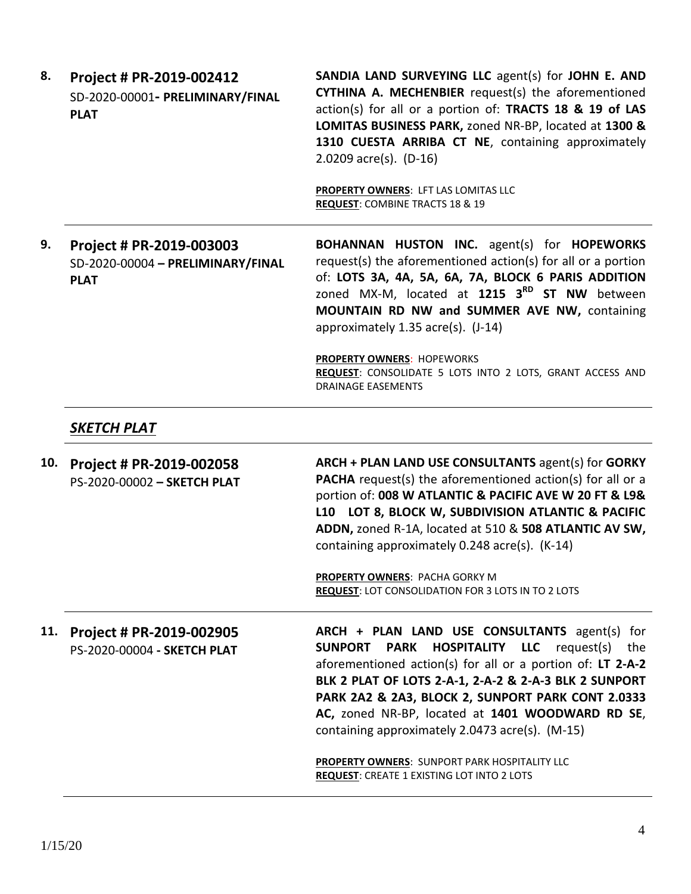|  | Project # PR-2019-002412<br>SD-2020-00001- PRELIMINARY/FINAL | SANDIA LAND SURVEYING LLC agent(s) for JOHN E. AND<br>CYTHINA A. MECHENBIER request(s) the aforementioned                                                                                              |
|--|--------------------------------------------------------------|--------------------------------------------------------------------------------------------------------------------------------------------------------------------------------------------------------|
|  | <b>PLAT</b>                                                  | action(s) for all or a portion of: TRACTS 18 & 19 of LAS<br>LOMITAS BUSINESS PARK, zoned NR-BP, located at 1300 &<br>1310 CUESTA ARRIBA CT NE, containing approximately<br>2.0209 $\arccos 0$ . (D-16) |

**PROPERTY OWNERS**: LFT LAS LOMITAS LLC **REQUEST**: COMBINE TRACTS 18 & 19

**9. Project # PR-2019-003003** SD-2020-00004 **– PRELIMINARY/FINAL PLAT**

**BOHANNAN HUSTON INC.** agent(s) for **HOPEWORKS** request(s) the aforementioned action(s) for all or a portion of: **LOTS 3A, 4A, 5A, 6A, 7A, BLOCK 6 PARIS ADDITION**  zoned MX-M, located at **1215 3RD ST NW** between **MOUNTAIN RD NW and SUMMER AVE NW,** containing approximately 1.35 acre(s). (J-14)

**PROPERTY OWNERS**: HOPEWORKS **REQUEST**: CONSOLIDATE 5 LOTS INTO 2 LOTS, GRANT ACCESS AND DRAINAGE EASEMENTS

### *SKETCH PLAT*

**10. Project # PR-2019-002058** PS-2020-00002 **– SKETCH PLAT ARCH + PLAN LAND USE CONSULTANTS** agent(s) for **GORKY PACHA** request(s) the aforementioned action(s) for all or a portion of: **008 W ATLANTIC & PACIFIC AVE W 20 FT & L9& L10 LOT 8, BLOCK W, SUBDIVISION ATLANTIC & PACIFIC ADDN,** zoned R-1A, located at 510 & **508 ATLANTIC AV SW,** containing approximately 0.248 acre(s). (K-14)

> **PROPERTY OWNERS**: PACHA GORKY M **REQUEST**: LOT CONSOLIDATION FOR 3 LOTS IN TO 2 LOTS

#### **11. Project # PR-2019-002905** PS-2020-00004 **- SKETCH PLAT**

**ARCH + PLAN LAND USE CONSULTANTS** agent(s) for **SUNPORT PARK HOSPITALITY LLC** request(s) the aforementioned action(s) for all or a portion of: **LT 2-A-2 BLK 2 PLAT OF LOTS 2-A-1, 2-A-2 & 2-A-3 BLK 2 SUNPORT PARK 2A2 & 2A3, BLOCK 2, SUNPORT PARK CONT 2.0333 AC,** zoned NR-BP, located at **1401 WOODWARD RD SE**, containing approximately 2.0473 acre(s). (M-15)

**PROPERTY OWNERS**: SUNPORT PARK HOSPITALITY LLC **REQUEST**: CREATE 1 EXISTING LOT INTO 2 LOTS